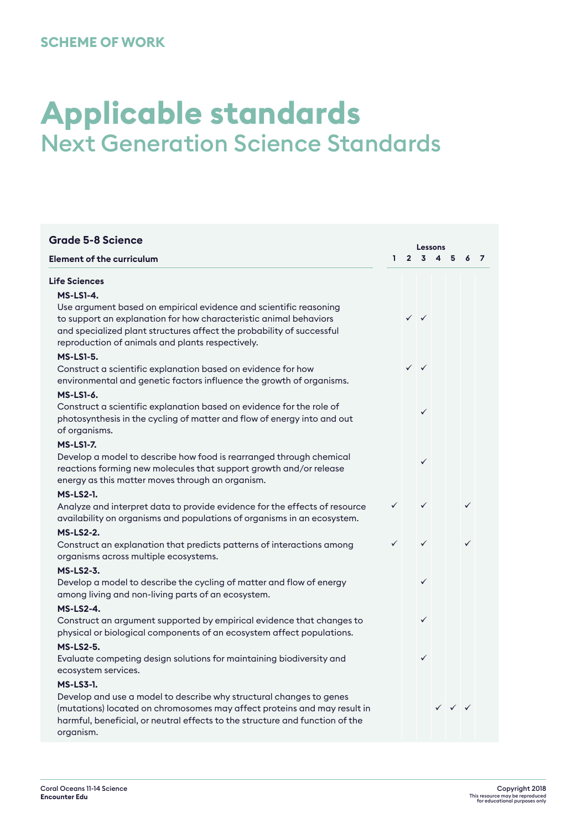# **Applicable standards** Next Generation Science Standards

| <b>Grade 5-8 Science</b>                                                     |              | Lessons     |                           |                         |                                        |   |  |  |  |  |
|------------------------------------------------------------------------------|--------------|-------------|---------------------------|-------------------------|----------------------------------------|---|--|--|--|--|
| <b>Element of the curriculum</b>                                             | ı.           | $2^{\circ}$ | $\overline{\mathbf{3}}$   | $\overline{\mathbf{4}}$ | 5                                      | 6 |  |  |  |  |
| <b>Life Sciences</b>                                                         |              |             |                           |                         |                                        |   |  |  |  |  |
| <b>MS-LS1-4.</b>                                                             |              |             |                           |                         |                                        |   |  |  |  |  |
| Use argument based on empirical evidence and scientific reasoning            |              |             |                           |                         |                                        |   |  |  |  |  |
| to support an explanation for how characteristic animal behaviors            |              |             | $\checkmark$ $\checkmark$ |                         |                                        |   |  |  |  |  |
| and specialized plant structures affect the probability of successful        |              |             |                           |                         |                                        |   |  |  |  |  |
| reproduction of animals and plants respectively.                             |              |             |                           |                         |                                        |   |  |  |  |  |
| <b>MS-LS1-5.</b>                                                             |              |             |                           |                         |                                        |   |  |  |  |  |
| Construct a scientific explanation based on evidence for how                 |              |             | $\checkmark$ $\checkmark$ |                         |                                        |   |  |  |  |  |
| environmental and genetic factors influence the growth of organisms.         |              |             |                           |                         |                                        |   |  |  |  |  |
| <b>MS-LS1-6.</b>                                                             |              |             |                           |                         |                                        |   |  |  |  |  |
| Construct a scientific explanation based on evidence for the role of         |              |             | ✓                         |                         |                                        |   |  |  |  |  |
| photosynthesis in the cycling of matter and flow of energy into and out      |              |             |                           |                         |                                        |   |  |  |  |  |
| of organisms.                                                                |              |             |                           |                         |                                        |   |  |  |  |  |
| <b>MS-LS1-7.</b>                                                             |              |             |                           |                         |                                        |   |  |  |  |  |
| Develop a model to describe how food is rearranged through chemical          |              |             | $\checkmark$              |                         |                                        |   |  |  |  |  |
| reactions forming new molecules that support growth and/or release           |              |             |                           |                         |                                        |   |  |  |  |  |
| energy as this matter moves through an organism.                             |              |             |                           |                         |                                        |   |  |  |  |  |
| <b>MS-LS2-1.</b>                                                             |              |             |                           |                         |                                        |   |  |  |  |  |
| Analyze and interpret data to provide evidence for the effects of resource   | $\checkmark$ |             | $\checkmark$              |                         |                                        | ✓ |  |  |  |  |
| availability on organisms and populations of organisms in an ecosystem.      |              |             |                           |                         |                                        |   |  |  |  |  |
| <b>MS-LS2-2.</b>                                                             |              |             |                           |                         |                                        |   |  |  |  |  |
| Construct an explanation that predicts patterns of interactions among        | ✓            |             | $\checkmark$              |                         |                                        |   |  |  |  |  |
| organisms across multiple ecosystems.                                        |              |             |                           |                         |                                        |   |  |  |  |  |
| <b>MS-LS2-3.</b>                                                             |              |             |                           |                         |                                        |   |  |  |  |  |
| Develop a model to describe the cycling of matter and flow of energy         |              |             | $\checkmark$              |                         |                                        |   |  |  |  |  |
| among living and non-living parts of an ecosystem.                           |              |             |                           |                         |                                        |   |  |  |  |  |
| <b>MS-LS2-4.</b>                                                             |              |             |                           |                         |                                        |   |  |  |  |  |
| Construct an argument supported by empirical evidence that changes to        |              |             | ✓                         |                         |                                        |   |  |  |  |  |
| physical or biological components of an ecosystem affect populations.        |              |             |                           |                         |                                        |   |  |  |  |  |
| <b>MS-LS2-5.</b>                                                             |              |             |                           |                         |                                        |   |  |  |  |  |
| Evaluate competing design solutions for maintaining biodiversity and         |              |             | $\checkmark$              |                         |                                        |   |  |  |  |  |
| ecosystem services.                                                          |              |             |                           |                         |                                        |   |  |  |  |  |
| <b>MS-LS3-1.</b>                                                             |              |             |                           |                         |                                        |   |  |  |  |  |
| Develop and use a model to describe why structural changes to genes          |              |             |                           |                         |                                        |   |  |  |  |  |
| (mutations) located on chromosomes may affect proteins and may result in     |              |             |                           |                         | $\checkmark$ $\checkmark$ $\checkmark$ |   |  |  |  |  |
| harmful, beneficial, or neutral effects to the structure and function of the |              |             |                           |                         |                                        |   |  |  |  |  |
| organism.                                                                    |              |             |                           |                         |                                        |   |  |  |  |  |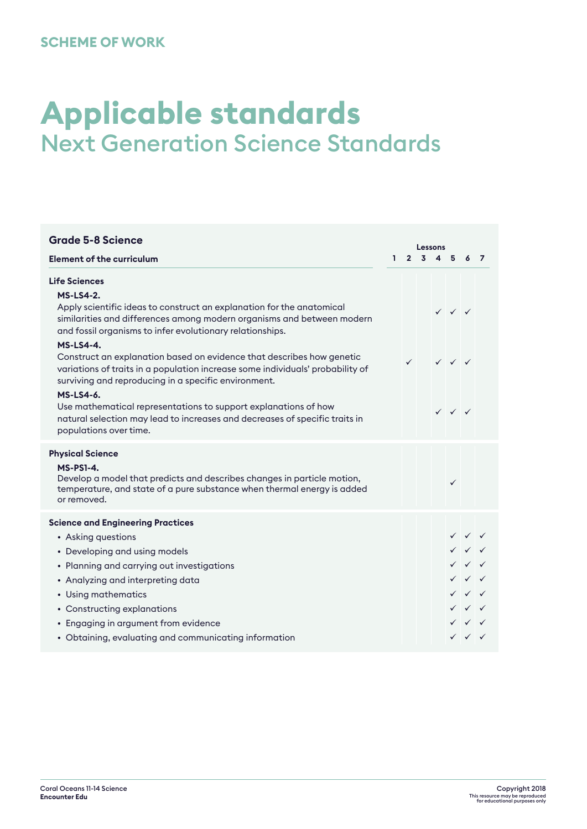# **Applicable standards** Next Generation Science Standards

| <b>Grade 5-8 Science</b>                                                                                                                                                                                        |    |              | Lessons         |  |                                        |                                        |  |  |  |  |
|-----------------------------------------------------------------------------------------------------------------------------------------------------------------------------------------------------------------|----|--------------|-----------------|--|----------------------------------------|----------------------------------------|--|--|--|--|
| <b>Element of the curriculum</b>                                                                                                                                                                                | Т. |              | $2 \t3 \t4 \t5$ |  |                                        | 6 <sub>7</sub>                         |  |  |  |  |
| <b>Life Sciences</b>                                                                                                                                                                                            |    |              |                 |  |                                        |                                        |  |  |  |  |
| <b>MS-LS4-2.</b>                                                                                                                                                                                                |    |              |                 |  |                                        |                                        |  |  |  |  |
| Apply scientific ideas to construct an explanation for the anatomical<br>similarities and differences among modern organisms and between modern<br>and fossil organisms to infer evolutionary relationships.    |    |              |                 |  | $\checkmark$ $\checkmark$ $\checkmark$ |                                        |  |  |  |  |
| <b>MS-LS4-4.</b>                                                                                                                                                                                                |    |              |                 |  |                                        |                                        |  |  |  |  |
| Construct an explanation based on evidence that describes how genetic<br>variations of traits in a population increase some individuals' probability of<br>surviving and reproducing in a specific environment. |    | $\checkmark$ |                 |  | $\checkmark$ $\checkmark$ $\checkmark$ |                                        |  |  |  |  |
| <b>MS-LS4-6.</b>                                                                                                                                                                                                |    |              |                 |  |                                        |                                        |  |  |  |  |
| Use mathematical representations to support explanations of how<br>natural selection may lead to increases and decreases of specific traits in<br>populations over time.                                        |    |              |                 |  | $\checkmark$ $\checkmark$ $\checkmark$ |                                        |  |  |  |  |
| <b>Physical Science</b>                                                                                                                                                                                         |    |              |                 |  |                                        |                                        |  |  |  |  |
| <b>MS-PS1-4.</b><br>Develop a model that predicts and describes changes in particle motion,<br>temperature, and state of a pure substance when thermal energy is added<br>or removed.                           |    |              |                 |  | $\checkmark$                           |                                        |  |  |  |  |
| <b>Science and Engineering Practices</b>                                                                                                                                                                        |    |              |                 |  |                                        |                                        |  |  |  |  |
| • Asking questions                                                                                                                                                                                              |    |              |                 |  |                                        | $\checkmark$ $\checkmark$ $\checkmark$ |  |  |  |  |
| • Developing and using models                                                                                                                                                                                   |    |              |                 |  |                                        | $\checkmark$ $\checkmark$ $\checkmark$ |  |  |  |  |
| • Planning and carrying out investigations                                                                                                                                                                      |    |              |                 |  |                                        | $\checkmark$ $\checkmark$ $\checkmark$ |  |  |  |  |
| • Analyzing and interpreting data                                                                                                                                                                               |    |              |                 |  |                                        | $\checkmark$ $\checkmark$ $\checkmark$ |  |  |  |  |
| • Using mathematics                                                                                                                                                                                             |    |              |                 |  |                                        | $\checkmark$ $\checkmark$ $\checkmark$ |  |  |  |  |
| • Constructing explanations                                                                                                                                                                                     |    |              |                 |  |                                        | $\checkmark$ $\checkmark$ $\checkmark$ |  |  |  |  |
| • Engaging in argument from evidence                                                                                                                                                                            |    |              |                 |  |                                        | $\checkmark$ $\checkmark$ $\checkmark$ |  |  |  |  |
| • Obtaining, evaluating and communicating information                                                                                                                                                           |    |              |                 |  |                                        | $\checkmark$ $\checkmark$ $\checkmark$ |  |  |  |  |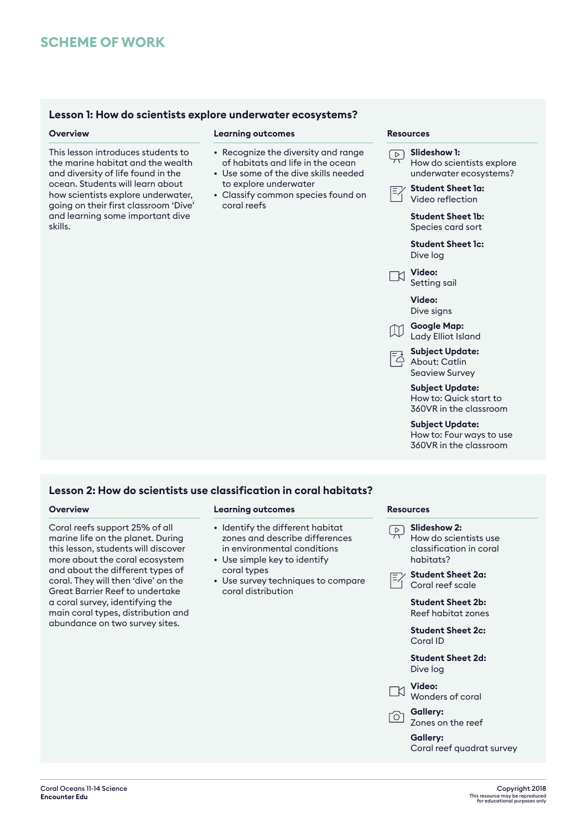# **Lesson 1: How do scientists explore underwater ecosystems?**

This lesson introduces students to the marine habitat and the wealth and diversity of life found in the ocean. Students will learn about how scientists explore underwater, going on their first classroom 'Dive' and learning some important dive skills.

# **Overview <b>Resources Learning outcomes Resources**

- Recognize the diversity and range of habitats and life in the ocean
- Use some of the dive skills needed to explore underwater
- Classify common species found on coral reefs

**Slideshow 1:** How do scientists explore underwater ecosystems? **Student Sheet 1a:** Video reflection **Student Sheet 1b:** Species card sort **Student Sheet 1c:** Dive log **Video:** Setting sail **Video:** Dive signs **Google Map:**   $\mathsf{M}$ Lady Elliot Island **Subject Update:**  About: Catlin Seaview Survey **Subject Update:**  How to: Quick start to 360VR in the classroom **Subject Update:** 

How to: Four ways to use 360VR in the classroom

# **Lesson 2: How do scientists use classification in coral habitats?**

Coral reefs support 25% of all marine life on the planet. During this lesson, students will discover more about the coral ecosystem and about the different types of coral. They will then 'dive' on the Great Barrier Reef to undertake a coral survey, identifying the main coral types, distribution and abundance on two survey sites.

### **Overview Learning outcomes Resources**

- Identify the different habitat zones and describe differences in environmental conditions
- Use simple key to identify coral types
- Use survey techniques to compare coral distribution

- **Slideshow 2:**  $\boxed{\triangleright}$ How do scientists use classification in coral habitats? **Student Sheet 2a:** Coral reef scale **Student Sheet 2b:** Reef habitat zones **Student Sheet 2c:** Coral ID **Student Sheet 2d:** Dive log
	- **Video:** Wonders of coral

**Gallery:**  Zones on the reef

**Gallery:**  Coral reef quadrat survey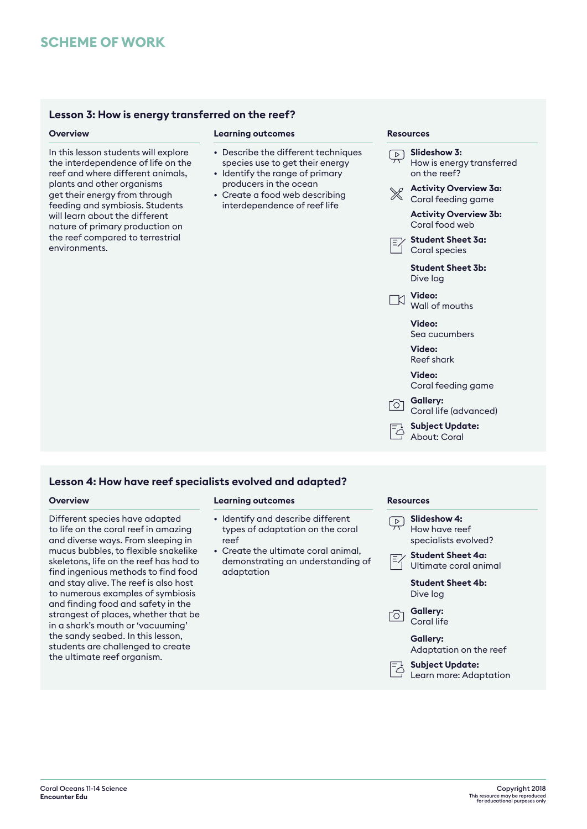# **SCHEME OF WORK**

# **Lesson 3: How is energy transferred on the reef?**

In this lesson students will explore the interdependence of life on the reef and where different animals, plants and other organisms get their energy from through feeding and symbiosis. Students will learn about the different nature of primary production on the reef compared to terrestrial environments.

## **Overview Learning outcomes Resources**

- Describe the different techniques species use to get their energy
- Identify the range of primary producers in the ocean
- Create a food web describing interdependence of reef life

**Slideshow 3:** How is energy transferred on the reef? **Activity Overview 3a:** Coral feeding game **Activity Overview 3b:** Coral food web **Student Sheet 3a:** Coral species **Student Sheet 3b:** Dive log **Video:** Wall of mouths **Video:** Sea cucumbers **Video:** Reef shark **Video:** Coral feeding game **Gallery:** Coral life (advanced)

**Subject Update:**  컹 About: Coral

# **Lesson 4: How have reef specialists evolved and adapted?**

Different species have adapted to life on the coral reef in amazing and diverse ways. From sleeping in mucus bubbles, to flexible snakelike skeletons, life on the reef has had to find ingenious methods to find food and stay alive. The reef is also host to numerous examples of symbiosis and finding food and safety in the strangest of places, whether that be in a shark's mouth or 'vacuuming' the sandy seabed. In this lesson, students are challenged to create the ultimate reef organism.

### **Overview Learning outcomes Resources**

- Identify and describe different types of adaptation on the coral reef
- Create the ultimate coral animal, demonstrating an understanding of adaptation

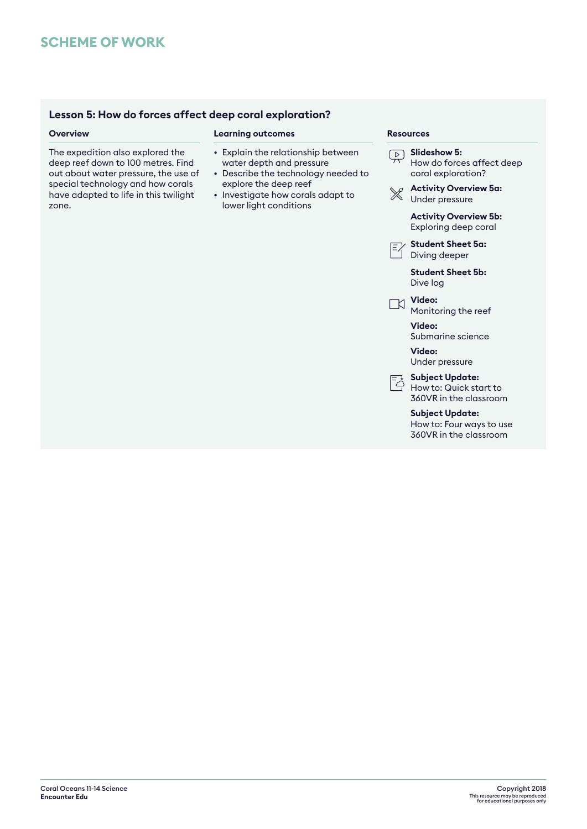# **Lesson 5: How do forces affect deep coral exploration?**

The expedition also explored the deep reef down to 100 metres. Find out about water pressure, the use of special technology and how corals have adapted to life in this twilight zone.

# **Overview Learning outcomes Resources**

- Explain the relationship between water depth and pressure
- Describe the technology needed to explore the deep reef
- Investigate how corals adapt to lower light conditions

| Slideshow 5:<br>How do forces affect deep<br>coral exploration?                                                                                                                                                                                                                                                                                                                     |
|-------------------------------------------------------------------------------------------------------------------------------------------------------------------------------------------------------------------------------------------------------------------------------------------------------------------------------------------------------------------------------------|
| <b>Activity Overview 5a:</b><br>Under pressure                                                                                                                                                                                                                                                                                                                                      |
| <b>Activity Overview 5b:</b><br>Exploring deep coral                                                                                                                                                                                                                                                                                                                                |
| <b>Student Sheet 5a:</b><br>Diving deeper                                                                                                                                                                                                                                                                                                                                           |
| <b>Student Sheet 5b:</b><br>Dive log                                                                                                                                                                                                                                                                                                                                                |
| Video:<br>Monitoring the reef                                                                                                                                                                                                                                                                                                                                                       |
| Video:<br>Submarine science                                                                                                                                                                                                                                                                                                                                                         |
| Video:<br>Under pressure                                                                                                                                                                                                                                                                                                                                                            |
| <b>Subject Update:</b><br>$\begin{bmatrix} 1 & 3 & 3 & 3 \\ 4 & 1 & 3 & 3 \\ 5 & 1 & 3 & 3 \\ 6 & 1 & 3 & 3 \\ 7 & 1 & 3 & 3 \\ 8 & 1 & 3 & 3 \\ 1 & 1 & 1 & 3 \\ 1 & 1 & 1 & 3 \\ 1 & 1 & 1 & 3 \\ 1 & 1 & 1 & 3 \\ 1 & 1 & 1 & 3 \\ 1 & 1 & 1 & 3 \\ 1 & 1 & 1 & 3 \\ 1 & 1 & 1 & 3 \\ 1 & 1 & 1 & 3 & 3 \\ 1 & 1 & 1 & 3 & 3 \\ 1 & 1 & 1 & 3 & 3 \\ $<br>360VR in the classroom |
| <b>Subject Update:</b><br>How to: Four ways to use                                                                                                                                                                                                                                                                                                                                  |

360VR in the classroom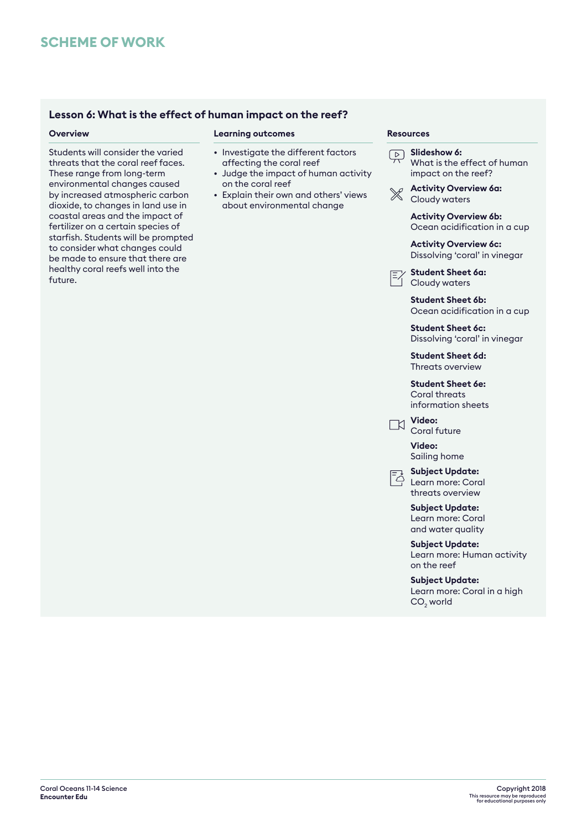# **Lesson 6: What is the effect of human impact on the reef?**

Students will consider the varied threats that the coral reef faces. These range from long-term environmental changes caused by increased atmospheric carbon dioxide, to changes in land use in coastal areas and the impact of fertilizer on a certain species of starfish. Students will be prompted to consider what changes could be made to ensure that there are healthy coral reefs well into the future.

# **Overview <b>Resources Learning outcomes Resources**

- Investigate the different factors affecting the coral reef
- Judge the impact of human activity on the coral reef
- Explain their own and others' views about environmental change

**Slideshow 6:** What is the effect of human impact on the reef?

**Activity Overview 6a:** Cloudy waters

> **Activity Overview 6b:** Ocean acidification in a cup

- **Activity Overview 6c:** Dissolving 'coral' in vinegar
- **Student Sheet 6a:** Cloudy waters

**Student Sheet 6b:** Ocean acidification in a cup

**Student Sheet 6c:** Dissolving 'coral' in vinegar

**Student Sheet 6d:** Threats overview

**Student Sheet 6e:** Coral threats information sheets



**Video:** Coral future

**Video:** Sailing home

**Subject Update:**  Learn more: Coral threats overview

**Subject Update:**  Learn more: Coral and water quality

**Subject Update:**  Learn more: Human activity on the reef

**Subject Update:** 

Learn more: Coral in a high  $CO<sub>2</sub>$  world